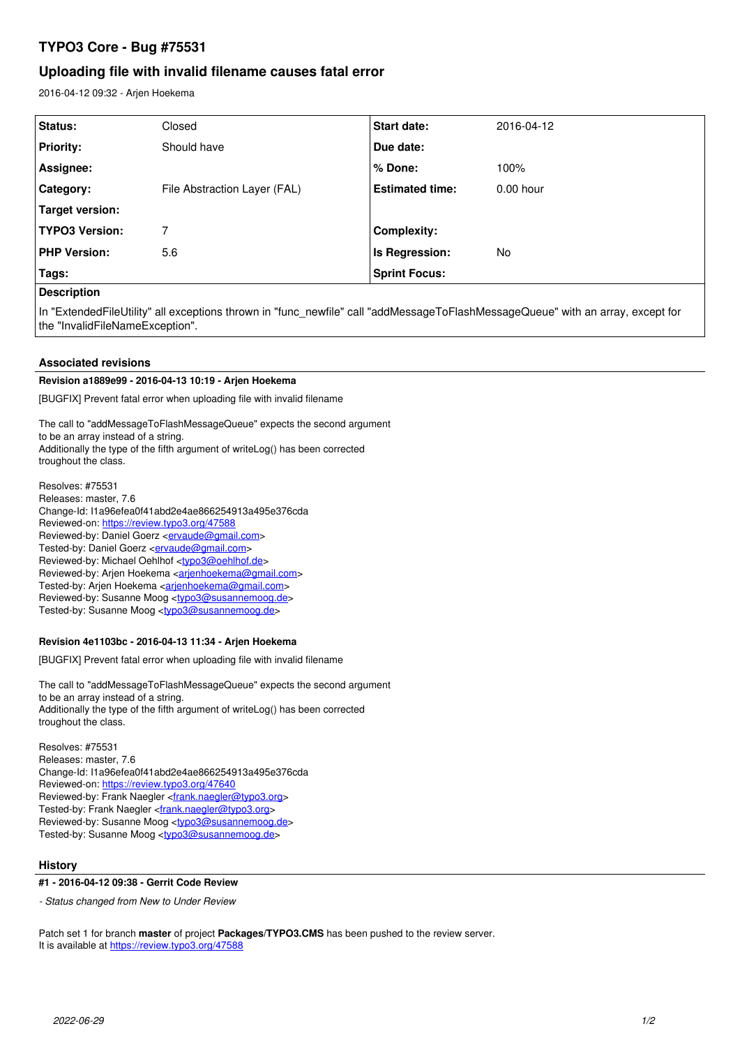# **TYPO3 Core - Bug #75531**

# **Uploading file with invalid filename causes fatal error**

2016-04-12 09:32 - Arjen Hoekema

| Status:                                                                                                                                                                                                                              | Closed                       | <b>Start date:</b>     | 2016-04-12  |
|--------------------------------------------------------------------------------------------------------------------------------------------------------------------------------------------------------------------------------------|------------------------------|------------------------|-------------|
| <b>Priority:</b>                                                                                                                                                                                                                     | Should have                  | Due date:              |             |
| Assignee:                                                                                                                                                                                                                            |                              | % Done:                | 100%        |
| Category:                                                                                                                                                                                                                            | File Abstraction Layer (FAL) | <b>Estimated time:</b> | $0.00$ hour |
| Target version:                                                                                                                                                                                                                      |                              |                        |             |
| <b>TYPO3 Version:</b>                                                                                                                                                                                                                | 7                            | Complexity:            |             |
| <b>PHP Version:</b>                                                                                                                                                                                                                  | 5.6                          | Is Regression:         | No.         |
| Tags:                                                                                                                                                                                                                                |                              | <b>Sprint Focus:</b>   |             |
| <b>Product of the Contract of the Contract of the Contract of the Contract of the Contract of the Contract of the Contract of the Contract of the Contract of the Contract of the Contract of The Contract of The Contract of Th</b> |                              |                        |             |

**Description**

In "ExtendedFileUtility" all exceptions thrown in "func newfile" call "addMessageToFlashMessageQueue" with an array, except for the "InvalidFileNameException".

# **Associated revisions**

#### **Revision a1889e99 - 2016-04-13 10:19 - Arjen Hoekema**

[BUGFIX] Prevent fatal error when uploading file with invalid filename

The call to "addMessageToFlashMessageQueue" expects the second argument to be an array instead of a string. Additionally the type of the fifth argument of writeLog() has been corrected troughout the class.

Resolves: #75531 Releases: master, 7.6 Change-Id: I1a96efea0f41abd2e4ae866254913a495e376cda Reviewed-on:<https://review.typo3.org/47588> Reviewed-by: Daniel Goerz <**ervaude@gmail.com>** Tested-by: Daniel Goerz <**[ervaude@gmail.com](mailto:ervaude@gmail.com)>** Reviewed-by: Michael Oehlhof <[typo3@oehlhof.de>](mailto:typo3@oehlhof.de) Reviewed-by: Arjen Hoekema <[arjenhoekema@gmail.com](mailto:arjenhoekema@gmail.com)> Tested-by: Arjen Hoekema [<arjenhoekema@gmail.com](mailto:arjenhoekema@gmail.com)> Reviewed-by: Susanne Moog <[typo3@susannemoog.de>](mailto:typo3@susannemoog.de) Tested-by: Susanne Moog <[typo3@susannemoog.de>](mailto:typo3@susannemoog.de)

#### **Revision 4e1103bc - 2016-04-13 11:34 - Arjen Hoekema**

[BUGFIX] Prevent fatal error when uploading file with invalid filename

The call to "addMessageToFlashMessageQueue" expects the second argument to be an array instead of a string. Additionally the type of the fifth argument of writeLog() has been corrected troughout the class.

Resolves: #75531 Releases: master, 7.6 Change-Id: I1a96efea0f41abd2e4ae866254913a495e376cda Reviewed-on:<https://review.typo3.org/47640> Reviewed-by: Frank Naegler <*frank.naegler@typo3.org>* Tested-by: Frank Naegler <[frank.naegler@typo3.org>](mailto:frank.naegler@typo3.org) Reviewed-by: Susanne Moog <[typo3@susannemoog.de>](mailto:typo3@susannemoog.de) Tested-by: Susanne Moog <[typo3@susannemoog.de>](mailto:typo3@susannemoog.de)

#### **History**

**#1 - 2016-04-12 09:38 - Gerrit Code Review**

*- Status changed from New to Under Review*

Patch set 1 for branch **master** of project **Packages/TYPO3.CMS** has been pushed to the review server. It is available at <https://review.typo3.org/47588>